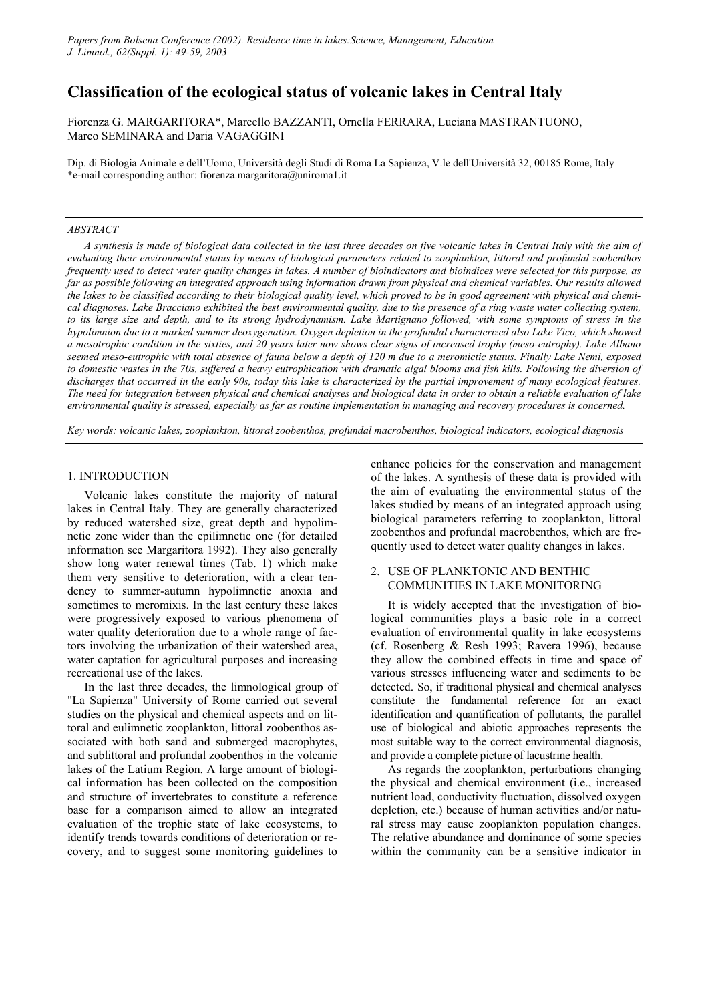# **Classification of the ecological status of volcanic lakes in Central Italy**

Fiorenza G. MARGARITORA\*, Marcello BAZZANTI, Ornella FERRARA, Luciana MASTRANTUONO, Marco SEMINARA and Daria VAGAGGINI

Dip. di Biologia Animale e dell'Uomo, Università degli Studi di Roma La Sapienza, V.le dell'Università 32, 00185 Rome, Italy \*e-mail corresponding author: fiorenza.margaritora@uniroma1.it

## *ABSTRACT*

*A synthesis is made of biological data collected in the last three decades on five volcanic lakes in Central Italy with the aim of evaluating their environmental status by means of biological parameters related to zooplankton, littoral and profundal zoobenthos frequently used to detect water quality changes in lakes. A number of bioindicators and bioindices were selected for this purpose, as far as possible following an integrated approach using information drawn from physical and chemical variables. Our results allowed the lakes to be classified according to their biological quality level, which proved to be in good agreement with physical and chemical diagnoses. Lake Bracciano exhibited the best environmental quality, due to the presence of a ring waste water collecting system, to its large size and depth, and to its strong hydrodynamism. Lake Martignano followed, with some symptoms of stress in the hypolimnion due to a marked summer deoxygenation. Oxygen depletion in the profundal characterized also Lake Vico, which showed a mesotrophic condition in the sixties, and 20 years later now shows clear signs of increased trophy (meso-eutrophy). Lake Albano seemed meso-eutrophic with total absence of fauna below a depth of 120 m due to a meromictic status. Finally Lake Nemi, exposed* to domestic wastes in the 70s, suffered a heavy eutrophication with dramatic algal blooms and fish kills. Following the diversion of *discharges that occurred in the early 90s, today this lake is characterized by the partial improvement of many ecological features. The need for integration between physical and chemical analyses and biological data in order to obtain a reliable evaluation of lake environmental quality is stressed, especially as far as routine implementation in managing and recovery procedures is concerned.* 

*Key words: volcanic lakes, zooplankton, littoral zoobenthos, profundal macrobenthos, biological indicators, ecological diagnosis* 

# 1. INTRODUCTION

Volcanic lakes constitute the majority of natural lakes in Central Italy. They are generally characterized by reduced watershed size, great depth and hypolimnetic zone wider than the epilimnetic one (for detailed information see Margaritora 1992). They also generally show long water renewal times (Tab. 1) which make them very sensitive to deterioration, with a clear tendency to summer-autumn hypolimnetic anoxia and sometimes to meromixis. In the last century these lakes were progressively exposed to various phenomena of water quality deterioration due to a whole range of factors involving the urbanization of their watershed area, water captation for agricultural purposes and increasing recreational use of the lakes.

In the last three decades, the limnological group of "La Sapienza" University of Rome carried out several studies on the physical and chemical aspects and on littoral and eulimnetic zooplankton, littoral zoobenthos associated with both sand and submerged macrophytes, and sublittoral and profundal zoobenthos in the volcanic lakes of the Latium Region. A large amount of biological information has been collected on the composition and structure of invertebrates to constitute a reference base for a comparison aimed to allow an integrated evaluation of the trophic state of lake ecosystems, to identify trends towards conditions of deterioration or recovery, and to suggest some monitoring guidelines to enhance policies for the conservation and management of the lakes. A synthesis of these data is provided with the aim of evaluating the environmental status of the lakes studied by means of an integrated approach using biological parameters referring to zooplankton, littoral zoobenthos and profundal macrobenthos, which are frequently used to detect water quality changes in lakes.

# 2. USE OF PLANKTONIC AND BENTHIC COMMUNITIES IN LAKE MONITORING

It is widely accepted that the investigation of biological communities plays a basic role in a correct evaluation of environmental quality in lake ecosystems (cf. Rosenberg & Resh 1993; Ravera 1996), because they allow the combined effects in time and space of various stresses influencing water and sediments to be detected. So, if traditional physical and chemical analyses constitute the fundamental reference for an exact identification and quantification of pollutants, the parallel use of biological and abiotic approaches represents the most suitable way to the correct environmental diagnosis, and provide a complete picture of lacustrine health.

As regards the zooplankton, perturbations changing the physical and chemical environment (i.e., increased nutrient load, conductivity fluctuation, dissolved oxygen depletion, etc.) because of human activities and/or natural stress may cause zooplankton population changes. The relative abundance and dominance of some species within the community can be a sensitive indicator in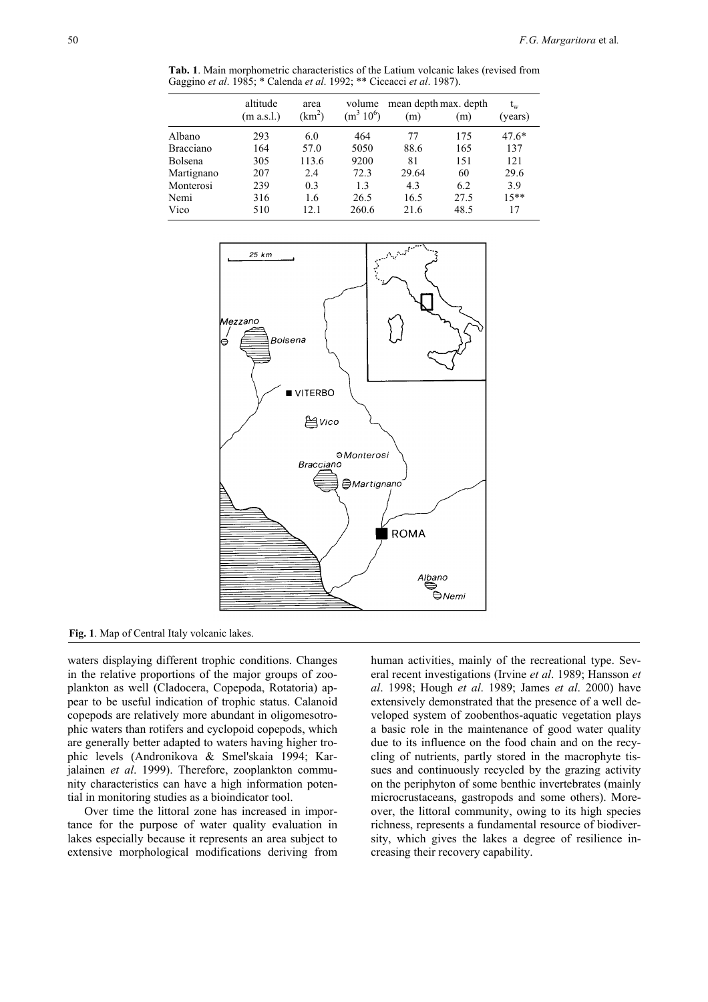| Gaggino <i>et al.</i> 1985, "Calenda <i>et al.</i> 1992," Ciccacci <i>et al.</i> 1987). |                        |                  |                        |       |                              |         |
|-----------------------------------------------------------------------------------------|------------------------|------------------|------------------------|-------|------------------------------|---------|
|                                                                                         | altitude<br>(m a.s.l.) | area<br>$(km^2)$ | volume<br>$(m^3 10^6)$ | (m)   | mean depth max. depth<br>(m) |         |
| Albano                                                                                  | 293                    | 6.0              | 464                    | 77    | 175                          | $47.6*$ |
| <b>Bracciano</b>                                                                        | 164                    | 57.0             | 5050                   | 88.6  | 165                          | 137     |
| Bolsena                                                                                 | 305                    | 113.6            | 9200                   | 81    | 151                          | 121     |
| Martignano                                                                              | 207                    | 2.4              | 72.3                   | 29.64 | 60                           | 29.6    |
| Monterosi                                                                               | 239                    | 0.3              | 1.3                    | 4.3   | 6.2                          | 3.9     |
| Nemi                                                                                    | 316                    | 1.6              | 26.5                   | 16.5  | 27.5                         | $15**$  |
| Vico                                                                                    | 510                    | 12.1             | 260.6                  | 21.6  | 48.5                         | 17      |

**Tab. 1**. Main morphometric characteristics of the Latium volcanic lakes (revised from Gaggino *et al*. 1985; \* Calenda *et al*. 1992; \*\* Ciccacci *et al*. 1987).



**Fig. 1**. Map of Central Italy volcanic lakes.

waters displaying different trophic conditions. Changes in the relative proportions of the major groups of zooplankton as well (Cladocera, Copepoda, Rotatoria) appear to be useful indication of trophic status. Calanoid copepods are relatively more abundant in oligomesotrophic waters than rotifers and cyclopoid copepods, which are generally better adapted to waters having higher trophic levels (Andronikova & Smel'skaia 1994; Karjalainen *et al*. 1999). Therefore, zooplankton community characteristics can have a high information potential in monitoring studies as a bioindicator tool.

Over time the littoral zone has increased in importance for the purpose of water quality evaluation in lakes especially because it represents an area subject to extensive morphological modifications deriving from human activities, mainly of the recreational type. Several recent investigations (Irvine *et al*. 1989; Hansson *et al*. 1998; Hough *et al*. 1989; James *et al*. 2000) have extensively demonstrated that the presence of a well developed system of zoobenthos-aquatic vegetation plays a basic role in the maintenance of good water quality due to its influence on the food chain and on the recycling of nutrients, partly stored in the macrophyte tissues and continuously recycled by the grazing activity on the periphyton of some benthic invertebrates (mainly microcrustaceans, gastropods and some others). Moreover, the littoral community, owing to its high species richness, represents a fundamental resource of biodiversity, which gives the lakes a degree of resilience increasing their recovery capability.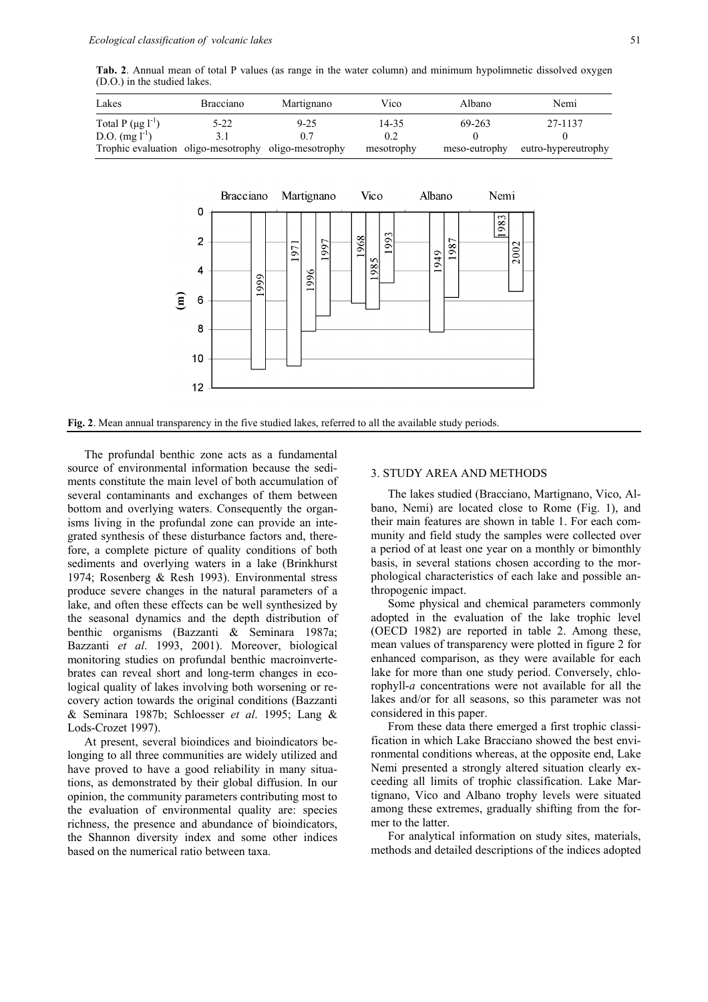*Ecological classification of volcanic lakes* 51

**Tab. 2**. Annual mean of total P values (as range in the water column) and minimum hypolimnetic dissolved oxygen (D.O.) in the studied lakes.

| Lakes                                                | <b>Bracciano</b> | Martignano     | Vico         | Albano        | Nemi                |
|------------------------------------------------------|------------------|----------------|--------------|---------------|---------------------|
| Total P $(\mu g l^{-1})$<br>D.O. $(mg l^{-1})$       | $5 - 22$<br>3.1  | $9 - 25$<br>07 | 14-35<br>0.2 | 69-263        | 27-1137             |
| Trophic evaluation oligo-mesotrophy oligo-mesotrophy |                  |                | mesotrophy   | meso-eutrophy | eutro-hypereutrophy |



**Fig. 2**. Mean annual transparency in the five studied lakes, referred to all the available study periods.

The profundal benthic zone acts as a fundamental source of environmental information because the sediments constitute the main level of both accumulation of several contaminants and exchanges of them between bottom and overlying waters. Consequently the organisms living in the profundal zone can provide an integrated synthesis of these disturbance factors and, therefore, a complete picture of quality conditions of both sediments and overlying waters in a lake (Brinkhurst 1974; Rosenberg & Resh 1993). Environmental stress produce severe changes in the natural parameters of a lake, and often these effects can be well synthesized by the seasonal dynamics and the depth distribution of benthic organisms (Bazzanti & Seminara 1987a; Bazzanti *et al*. 1993, 2001). Moreover, biological monitoring studies on profundal benthic macroinvertebrates can reveal short and long-term changes in ecological quality of lakes involving both worsening or recovery action towards the original conditions (Bazzanti & Seminara 1987b; Schloesser *et al*. 1995; Lang & Lods-Crozet 1997).

At present, several bioindices and bioindicators belonging to all three communities are widely utilized and have proved to have a good reliability in many situations, as demonstrated by their global diffusion. In our opinion, the community parameters contributing most to the evaluation of environmental quality are: species richness, the presence and abundance of bioindicators, the Shannon diversity index and some other indices based on the numerical ratio between taxa.

## 3. STUDY AREA AND METHODS

The lakes studied (Bracciano, Martignano, Vico, Albano, Nemi) are located close to Rome (Fig. 1), and their main features are shown in table 1. For each community and field study the samples were collected over a period of at least one year on a monthly or bimonthly basis, in several stations chosen according to the morphological characteristics of each lake and possible anthropogenic impact.

Some physical and chemical parameters commonly adopted in the evaluation of the lake trophic level (OECD 1982) are reported in table 2. Among these, mean values of transparency were plotted in figure 2 for enhanced comparison, as they were available for each lake for more than one study period. Conversely, chlorophyll-*a* concentrations were not available for all the lakes and/or for all seasons, so this parameter was not considered in this paper.

From these data there emerged a first trophic classification in which Lake Bracciano showed the best environmental conditions whereas, at the opposite end, Lake Nemi presented a strongly altered situation clearly exceeding all limits of trophic classification. Lake Martignano, Vico and Albano trophy levels were situated among these extremes, gradually shifting from the former to the latter.

For analytical information on study sites, materials, methods and detailed descriptions of the indices adopted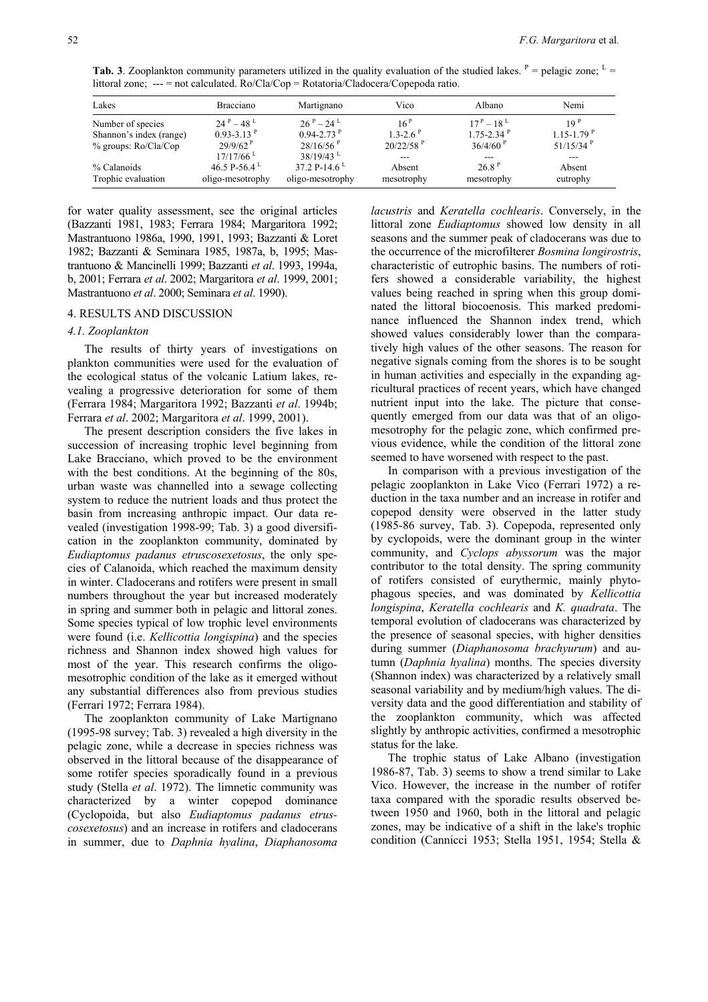| <b>Bracciano</b><br>Martignano                                           | Vico                     | Albano                     | Nemi                       |
|--------------------------------------------------------------------------|--------------------------|----------------------------|----------------------------|
| $24^{\circ} - 48^{\circ}$<br>$26^{\circ} - 24^{\circ}$                   | 16 <sup>P</sup>          | $17^{\rm P} - 18^{\rm L}$  | 19 <sup>P</sup>            |
| $0.93 - 3.13$ <sup>P</sup><br>$0.94 - 2.73$ <sup>P</sup>                 | $1.3 - 2.6$ <sup>P</sup> | $1.75 - 2.34$ <sup>P</sup> | $1.15 - 1.79$ <sup>P</sup> |
| $29/9/62^P$<br>$28/16/56$ <sup>P</sup>                                   | $20/22/58$ <sup>P</sup>  | $36/4/60$ P                | $51/15/34$ <sup>P</sup>    |
| $17/17/66$ <sup>L</sup><br>$38/19/43$ <sup>L</sup>                       | $- - -$                  | $---$                      | ---                        |
| 37.2 P-14.6 <sup>L</sup><br>46.5 P-56.4 <sup>L</sup><br>oligo-mesotrophy | Absent<br>mesotrophy     | 26.8P<br>mesotrophy        | Absent<br>eutrophy         |
|                                                                          |                          | oligo-mesotrophy           |                            |

**Tab. 3**. Zooplankton community parameters utilized in the quality evaluation of the studied lakes.  $P =$  pelagic zone;  $L =$ littoral zone; --- = not calculated. Ro/Cla/Cop = Rotatoria/Cladocera/Copepoda ratio.

for water quality assessment, see the original articles (Bazzanti 1981, 1983; Ferrara 1984; Margaritora 1992; Mastrantuono 1986a, 1990, 1991, 1993; Bazzanti & Loret 1982; Bazzanti & Seminara 1985, 1987a, b, 1995; Mastrantuono & Mancinelli 1999; Bazzanti *et al*. 1993, 1994a, b, 2001; Ferrara *et al*. 2002; Margaritora *et al*. 1999, 2001; Mastrantuono *et al*. 2000; Seminara *et al*. 1990).

#### 4. RESULTS AND DISCUSSION

# *4.1. Zooplankton*

The results of thirty years of investigations on plankton communities were used for the evaluation of the ecological status of the volcanic Latium lakes, revealing a progressive deterioration for some of them (Ferrara 1984; Margaritora 1992; Bazzanti *et al*. 1994b; Ferrara *et al*. 2002; Margaritora *et al*. 1999, 2001).

The present description considers the five lakes in succession of increasing trophic level beginning from Lake Bracciano, which proved to be the environment with the best conditions. At the beginning of the 80s, urban waste was channelled into a sewage collecting system to reduce the nutrient loads and thus protect the basin from increasing anthropic impact. Our data revealed (investigation 1998-99; Tab. 3) a good diversification in the zooplankton community, dominated by *Eudiaptomus padanus etruscosexetosus*, the only species of Calanoida, which reached the maximum density in winter. Cladocerans and rotifers were present in small numbers throughout the year but increased moderately in spring and summer both in pelagic and littoral zones. Some species typical of low trophic level environments were found (i.e. *Kellicottia longispina*) and the species richness and Shannon index showed high values for most of the year. This research confirms the oligomesotrophic condition of the lake as it emerged without any substantial differences also from previous studies (Ferrari 1972; Ferrara 1984).

The zooplankton community of Lake Martignano (1995-98 survey; Tab. 3) revealed a high diversity in the pelagic zone, while a decrease in species richness was observed in the littoral because of the disappearance of some rotifer species sporadically found in a previous study (Stella *et al*. 1972). The limnetic community was characterized by a winter copepod dominance (Cyclopoida, but also *Eudiaptomus padanus etruscosexetosus*) and an increase in rotifers and cladocerans in summer, due to *Daphnia hyalina*, *Diaphanosoma*

*lacustris* and *Keratella cochlearis*. Conversely, in the littoral zone *Eudiaptomus* showed low density in all seasons and the summer peak of cladocerans was due to the occurrence of the microfilterer *Bosmina longirostris*, characteristic of eutrophic basins. The numbers of rotifers showed a considerable variability, the highest values being reached in spring when this group dominated the littoral biocoenosis. This marked predominance influenced the Shannon index trend, which showed values considerably lower than the comparatively high values of the other seasons. The reason for negative signals coming from the shores is to be sought in human activities and especially in the expanding agricultural practices of recent years, which have changed nutrient input into the lake. The picture that consequently emerged from our data was that of an oligomesotrophy for the pelagic zone, which confirmed previous evidence, while the condition of the littoral zone seemed to have worsened with respect to the past.

In comparison with a previous investigation of the pelagic zooplankton in Lake Vico (Ferrari 1972) a reduction in the taxa number and an increase in rotifer and copepod density were observed in the latter study (1985-86 survey, Tab. 3). Copepoda, represented only by cyclopoids, were the dominant group in the winter community, and *Cyclops abyssorum* was the major contributor to the total density. The spring community of rotifers consisted of eurythermic, mainly phytophagous species, and was dominated by *Kellicottia longispina*, *Keratella cochlearis* and *K. quadrata*. The temporal evolution of cladocerans was characterized by the presence of seasonal species, with higher densities during summer (*Diaphanosoma brachyurum*) and autumn (*Daphnia hyalina*) months. The species diversity (Shannon index) was characterized by a relatively small seasonal variability and by medium/high values. The diversity data and the good differentiation and stability of the zooplankton community, which was affected slightly by anthropic activities, confirmed a mesotrophic status for the lake.

The trophic status of Lake Albano (investigation 1986-87, Tab. 3) seems to show a trend similar to Lake Vico. However, the increase in the number of rotifer taxa compared with the sporadic results observed between 1950 and 1960, both in the littoral and pelagic zones, may be indicative of a shift in the lake's trophic condition (Cannicci 1953; Stella 1951, 1954; Stella &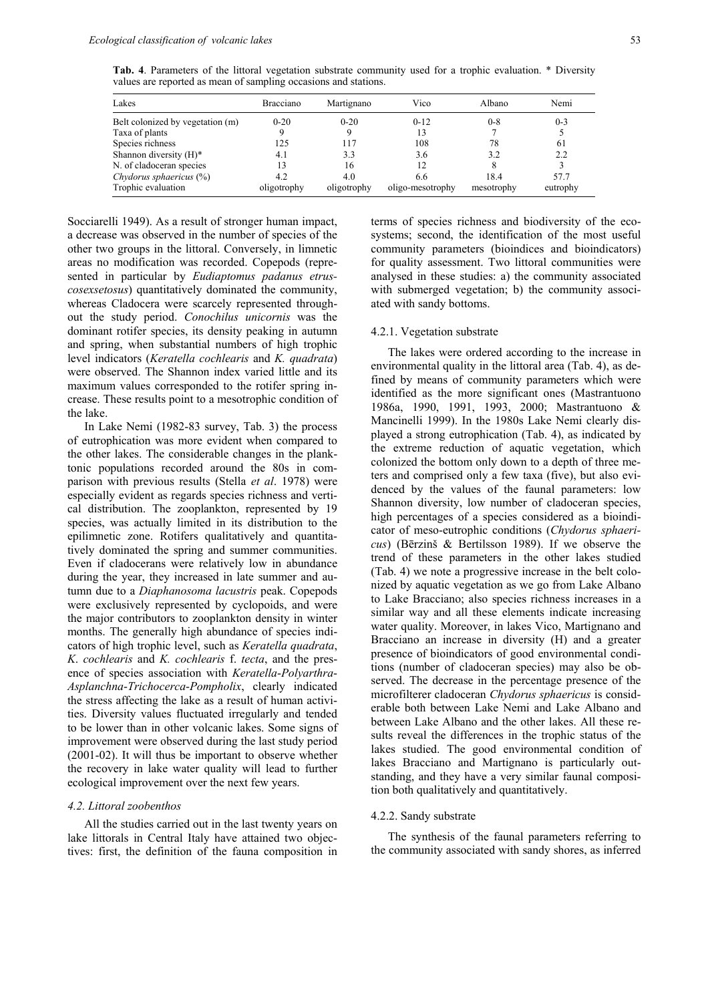**Tab. 4**. Parameters of the littoral vegetation substrate community used for a trophic evaluation. \* Diversity values are reported as mean of sampling occasions and stations.

| Lakes                            | <b>Bracciano</b> | Martignano  | Vico             | Albano     | Nemi     |
|----------------------------------|------------------|-------------|------------------|------------|----------|
| Belt colonized by vegetation (m) | $0 - 20$         | $0 - 20$    | $0 - 12$         | $0 - 8$    | $0-3$    |
| Taxa of plants                   | 9                | Q           | 13               |            |          |
| Species richness                 | 125              | 117         | 108              | 78         | 61       |
| Shannon diversity $(H)^*$        | 4.1              | 3.3         | 3.6              | 3.2        | 2.2      |
| N. of cladoceran species         | 13               | 16          | 12               |            |          |
| Chydorus sphaericus $(\%)$       | 4.2              | 4.0         | 6.6              | 18.4       | 57.7     |
| Trophic evaluation               | oligotrophy      | oligotrophy | oligo-mesotrophy | mesotrophy | eutrophy |

Socciarelli 1949). As a result of stronger human impact, a decrease was observed in the number of species of the other two groups in the littoral. Conversely, in limnetic areas no modification was recorded. Copepods (represented in particular by *Eudiaptomus padanus etruscosexsetosus*) quantitatively dominated the community, whereas Cladocera were scarcely represented throughout the study period. *Conochilus unicornis* was the dominant rotifer species, its density peaking in autumn and spring, when substantial numbers of high trophic level indicators (*Keratella cochlearis* and *K. quadrata*) were observed. The Shannon index varied little and its maximum values corresponded to the rotifer spring increase. These results point to a mesotrophic condition of the lake.

In Lake Nemi (1982-83 survey, Tab. 3) the process of eutrophication was more evident when compared to the other lakes. The considerable changes in the planktonic populations recorded around the 80s in comparison with previous results (Stella *et al*. 1978) were especially evident as regards species richness and vertical distribution. The zooplankton, represented by 19 species, was actually limited in its distribution to the epilimnetic zone. Rotifers qualitatively and quantitatively dominated the spring and summer communities. Even if cladocerans were relatively low in abundance during the year, they increased in late summer and autumn due to a *Diaphanosoma lacustris* peak. Copepods were exclusively represented by cyclopoids, and were the major contributors to zooplankton density in winter months. The generally high abundance of species indicators of high trophic level, such as *Keratella quadrata*, *K*. *cochlearis* and *K. cochlearis* f. *tecta*, and the presence of species association with *Keratella*-*Polyarthra*-*Asplanchna*-*Trichocerca*-*Pompholix*, clearly indicated the stress affecting the lake as a result of human activities. Diversity values fluctuated irregularly and tended to be lower than in other volcanic lakes. Some signs of improvement were observed during the last study period (2001-02). It will thus be important to observe whether the recovery in lake water quality will lead to further ecological improvement over the next few years.

# *4.2. Littoral zoobenthos*

All the studies carried out in the last twenty years on lake littorals in Central Italy have attained two objectives: first, the definition of the fauna composition in terms of species richness and biodiversity of the ecosystems; second, the identification of the most useful community parameters (bioindices and bioindicators) for quality assessment. Two littoral communities were analysed in these studies: a) the community associated with submerged vegetation; b) the community associated with sandy bottoms.

# 4.2.1. Vegetation substrate

The lakes were ordered according to the increase in environmental quality in the littoral area (Tab. 4), as defined by means of community parameters which were identified as the more significant ones (Mastrantuono 1986a, 1990, 1991, 1993, 2000; Mastrantuono & Mancinelli 1999). In the 1980s Lake Nemi clearly displayed a strong eutrophication (Tab. 4), as indicated by the extreme reduction of aquatic vegetation, which colonized the bottom only down to a depth of three meters and comprised only a few taxa (five), but also evidenced by the values of the faunal parameters: low Shannon diversity, low number of cladoceran species, high percentages of a species considered as a bioindicator of meso-eutrophic conditions (*Chydorus sphaericus*) (Bērzinš & Bertilsson 1989). If we observe the trend of these parameters in the other lakes studied (Tab. 4) we note a progressive increase in the belt colonized by aquatic vegetation as we go from Lake Albano to Lake Bracciano; also species richness increases in a similar way and all these elements indicate increasing water quality. Moreover, in lakes Vico, Martignano and Bracciano an increase in diversity (H) and a greater presence of bioindicators of good environmental conditions (number of cladoceran species) may also be observed. The decrease in the percentage presence of the microfilterer cladoceran *Chydorus sphaericus* is considerable both between Lake Nemi and Lake Albano and between Lake Albano and the other lakes. All these results reveal the differences in the trophic status of the lakes studied. The good environmental condition of lakes Bracciano and Martignano is particularly outstanding, and they have a very similar faunal composition both qualitatively and quantitatively.

#### 4.2.2. Sandy substrate

The synthesis of the faunal parameters referring to the community associated with sandy shores, as inferred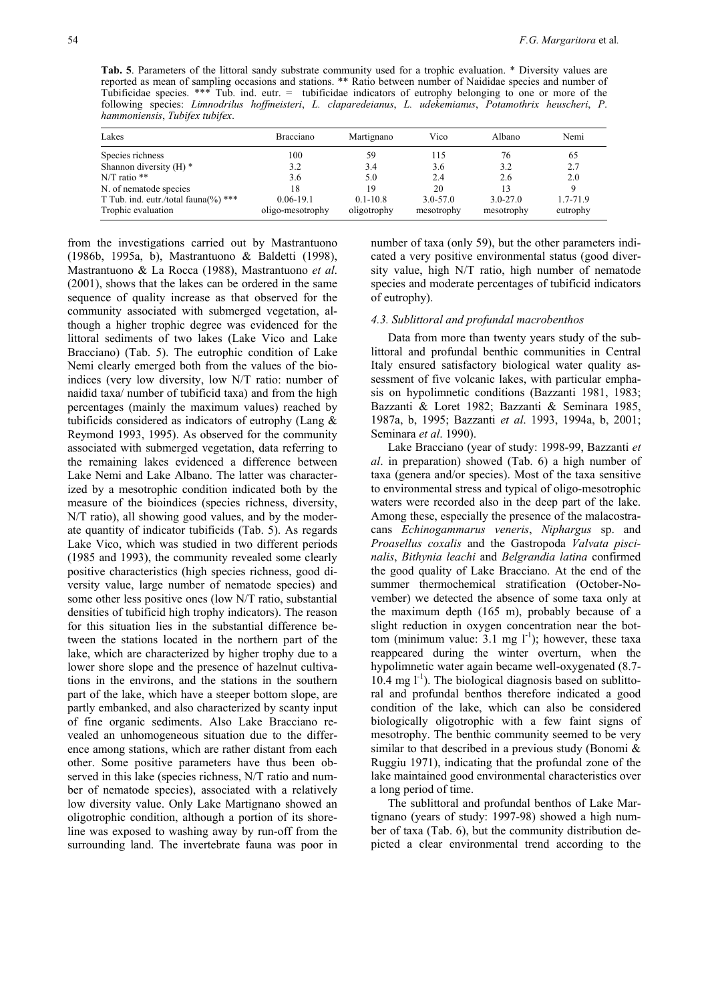**Tab. 5**. Parameters of the littoral sandy substrate community used for a trophic evaluation. \* Diversity values are reported as mean of sampling occasions and stations. \*\* Ratio between number of Naididae species and number of Tubificidae species. \*\*\* Tub. ind. eutr. = tubificidae indicators of eutrophy belonging to one or more of the following species: *Limnodrilus hoffmeisteri*, *L. claparedeianus*, *L. udekemianus*, *Potamothrix heuscheri*, *P*. *hammoniensis*, *Tubifex tubifex*.

| Lakes                                | <b>Bracciano</b> | Martignano   | Vico         | Albano       | Nemi     |
|--------------------------------------|------------------|--------------|--------------|--------------|----------|
| Species richness                     | 100              | 59           | 115          | 76           | 65       |
| Shannon diversity $(H)$ <sup>*</sup> | 3.2              | 3.4          | 3.6          | 3.2          | 2.7      |
| $N/T$ ratio **                       | 3.6              | 5.0          | 2.4          | 2.6          | 2.0      |
| N. of nematode species               | 18               | 19           | 20           | 13           | 9        |
| T Tub. ind. eutr./total fauna(%) *** | $0.06 - 19.1$    | $0.1 - 10.8$ | $3.0 - 57.0$ | $3.0 - 27.0$ | 1.7-71.9 |
| Trophic evaluation                   | oligo-mesotrophy | oligotrophy  | mesotrophy   | mesotrophy   | eutrophy |

from the investigations carried out by Mastrantuono (1986b, 1995a, b), Mastrantuono & Baldetti (1998), Mastrantuono & La Rocca (1988), Mastrantuono *et al*. (2001), shows that the lakes can be ordered in the same sequence of quality increase as that observed for the community associated with submerged vegetation, although a higher trophic degree was evidenced for the littoral sediments of two lakes (Lake Vico and Lake Bracciano) (Tab. 5). The eutrophic condition of Lake Nemi clearly emerged both from the values of the bioindices (very low diversity, low N/T ratio: number of naidid taxa/ number of tubificid taxa) and from the high percentages (mainly the maximum values) reached by tubificids considered as indicators of eutrophy (Lang & Reymond 1993, 1995). As observed for the community associated with submerged vegetation, data referring to the remaining lakes evidenced a difference between Lake Nemi and Lake Albano. The latter was characterized by a mesotrophic condition indicated both by the measure of the bioindices (species richness, diversity, N/T ratio), all showing good values, and by the moderate quantity of indicator tubificids (Tab. 5). As regards Lake Vico, which was studied in two different periods (1985 and 1993), the community revealed some clearly positive characteristics (high species richness, good diversity value, large number of nematode species) and some other less positive ones (low N/T ratio, substantial densities of tubificid high trophy indicators). The reason for this situation lies in the substantial difference between the stations located in the northern part of the lake, which are characterized by higher trophy due to a lower shore slope and the presence of hazelnut cultivations in the environs, and the stations in the southern part of the lake, which have a steeper bottom slope, are partly embanked, and also characterized by scanty input of fine organic sediments. Also Lake Bracciano revealed an unhomogeneous situation due to the difference among stations, which are rather distant from each other. Some positive parameters have thus been observed in this lake (species richness, N/T ratio and number of nematode species), associated with a relatively low diversity value. Only Lake Martignano showed an oligotrophic condition, although a portion of its shoreline was exposed to washing away by run-off from the surrounding land. The invertebrate fauna was poor in

number of taxa (only 59), but the other parameters indicated a very positive environmental status (good diversity value, high N/T ratio, high number of nematode species and moderate percentages of tubificid indicators of eutrophy).

### *4.3. Sublittoral and profundal macrobenthos*

Data from more than twenty years study of the sublittoral and profundal benthic communities in Central Italy ensured satisfactory biological water quality assessment of five volcanic lakes, with particular emphasis on hypolimnetic conditions (Bazzanti 1981, 1983; Bazzanti & Loret 1982; Bazzanti & Seminara 1985, 1987a, b, 1995; Bazzanti *et al*. 1993, 1994a, b, 2001; Seminara *et al*. 1990).

Lake Bracciano (year of study: 1998-99, Bazzanti *et al*. in preparation) showed (Tab. 6) a high number of taxa (genera and/or species). Most of the taxa sensitive to environmental stress and typical of oligo-mesotrophic waters were recorded also in the deep part of the lake. Among these, especially the presence of the malacostracans *Echinogammarus veneris*, *Niphargus* sp. and *Proasellus coxalis* and the Gastropoda *Valvata piscinalis*, *Bithynia leachi* and *Belgrandia latina* confirmed the good quality of Lake Bracciano. At the end of the summer thermochemical stratification (October-November) we detected the absence of some taxa only at the maximum depth (165 m), probably because of a slight reduction in oxygen concentration near the bottom (minimum value: 3.1 mg  $1^{-1}$ ); however, these taxa reappeared during the winter overturn, when the hypolimnetic water again became well-oxygenated (8.7- 10.4 mg  $l^{-1}$ ). The biological diagnosis based on sublittoral and profundal benthos therefore indicated a good condition of the lake, which can also be considered biologically oligotrophic with a few faint signs of mesotrophy. The benthic community seemed to be very similar to that described in a previous study (Bonomi  $\&$ Ruggiu 1971), indicating that the profundal zone of the lake maintained good environmental characteristics over a long period of time.

The sublittoral and profundal benthos of Lake Martignano (years of study: 1997-98) showed a high number of taxa (Tab. 6), but the community distribution depicted a clear environmental trend according to the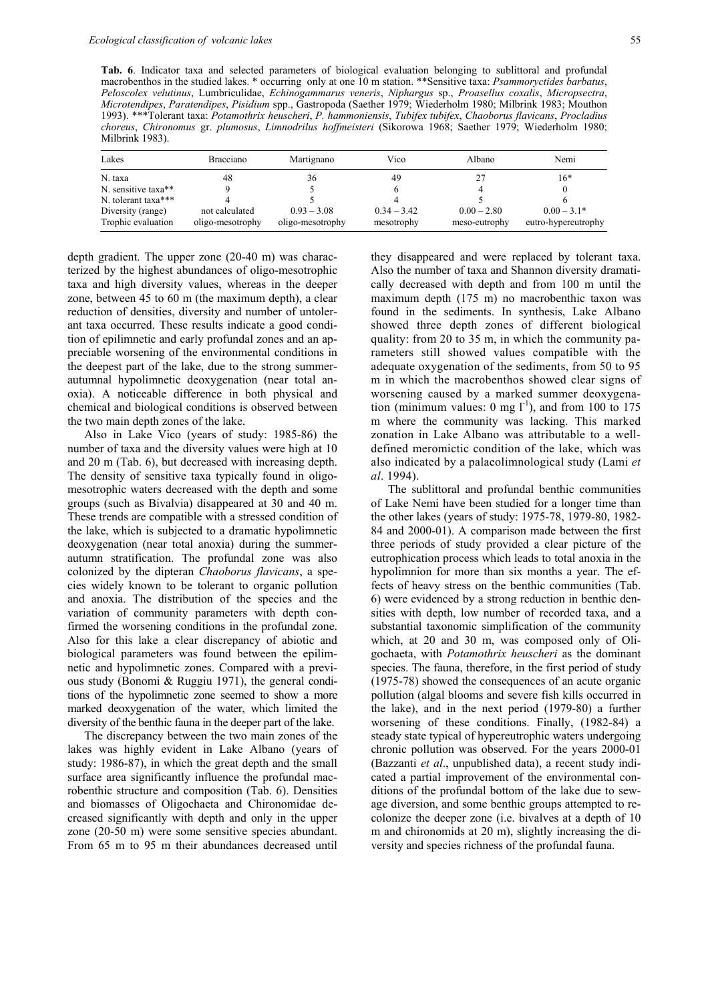**Tab. 6**. Indicator taxa and selected parameters of biological evaluation belonging to sublittoral and profundal macrobenthos in the studied lakes. \* occurring only at one 10 m station. \*\*Sensitive taxa: *Psammoryctides barbatus*, *Peloscolex velutinus*, Lumbriculidae, *Echinogammarus veneris*, *Niphargus* sp., *Proasellus coxalis*, *Micropsectra*, *Microtendipes*, *Paratendipes*, *Pisidium* spp., Gastropoda (Saether 1979; Wiederholm 1980; Milbrink 1983; Mouthon 1993). \*\*\*Tolerant taxa: *Potamothrix heuscheri*, *P. hammoniensis*, *Tubifex tubifex*, *Chaoborus flavicans*, *Procladius choreus*, *Chironomus* gr. *plumosus*, *Limnodrilus hoffmeisteri* (Sikorowa 1968; Saether 1979; Wiederholm 1980; Milbrink 1983).

| Lakes               | <b>Bracciano</b> | Martignano       | Vico          | Albano        | Nemi                |
|---------------------|------------------|------------------|---------------|---------------|---------------------|
| N. taxa             | 48               | 36               | 49            | 27            | $16*$               |
| N. sensitive taxa** |                  |                  |               |               |                     |
| N. tolerant taxa*** |                  |                  |               |               |                     |
| Diversity (range)   | not calculated   | $0.93 - 3.08$    | $0.34 - 3.42$ | $0.00 - 2.80$ | $0.00 - 3.1*$       |
| Trophic evaluation  | oligo-mesotrophy | oligo-mesotrophy | mesotrophy    | meso-eutrophy | eutro-hypereutrophy |

depth gradient. The upper zone (20-40 m) was characterized by the highest abundances of oligo-mesotrophic taxa and high diversity values, whereas in the deeper zone, between 45 to 60 m (the maximum depth), a clear reduction of densities, diversity and number of untolerant taxa occurred. These results indicate a good condition of epilimnetic and early profundal zones and an appreciable worsening of the environmental conditions in the deepest part of the lake, due to the strong summerautumnal hypolimnetic deoxygenation (near total anoxia). A noticeable difference in both physical and chemical and biological conditions is observed between the two main depth zones of the lake.

Also in Lake Vico (years of study: 1985-86) the number of taxa and the diversity values were high at 10 and 20 m (Tab. 6), but decreased with increasing depth. The density of sensitive taxa typically found in oligomesotrophic waters decreased with the depth and some groups (such as Bivalvia) disappeared at 30 and 40 m. These trends are compatible with a stressed condition of the lake, which is subjected to a dramatic hypolimnetic deoxygenation (near total anoxia) during the summerautumn stratification. The profundal zone was also colonized by the dipteran *Chaoborus flavicans*, a species widely known to be tolerant to organic pollution and anoxia. The distribution of the species and the variation of community parameters with depth confirmed the worsening conditions in the profundal zone. Also for this lake a clear discrepancy of abiotic and biological parameters was found between the epilimnetic and hypolimnetic zones. Compared with a previous study (Bonomi & Ruggiu 1971), the general conditions of the hypolimnetic zone seemed to show a more marked deoxygenation of the water, which limited the diversity of the benthic fauna in the deeper part of the lake.

The discrepancy between the two main zones of the lakes was highly evident in Lake Albano (years of study: 1986-87), in which the great depth and the small surface area significantly influence the profundal macrobenthic structure and composition (Tab. 6). Densities and biomasses of Oligochaeta and Chironomidae decreased significantly with depth and only in the upper zone (20-50 m) were some sensitive species abundant. From 65 m to 95 m their abundances decreased until

they disappeared and were replaced by tolerant taxa. Also the number of taxa and Shannon diversity dramatically decreased with depth and from 100 m until the maximum depth (175 m) no macrobenthic taxon was found in the sediments. In synthesis, Lake Albano showed three depth zones of different biological quality: from 20 to 35 m, in which the community parameters still showed values compatible with the adequate oxygenation of the sediments, from 50 to 95 m in which the macrobenthos showed clear signs of worsening caused by a marked summer deoxygenation (minimum values: 0 mg  $1^{-1}$ ), and from 100 to 175 m where the community was lacking. This marked zonation in Lake Albano was attributable to a welldefined meromictic condition of the lake, which was also indicated by a palaeolimnological study (Lami *et al*. 1994).

The sublittoral and profundal benthic communities of Lake Nemi have been studied for a longer time than the other lakes (years of study: 1975-78, 1979-80, 1982- 84 and 2000-01). A comparison made between the first three periods of study provided a clear picture of the eutrophication process which leads to total anoxia in the hypolimnion for more than six months a year. The effects of heavy stress on the benthic communities (Tab. 6) were evidenced by a strong reduction in benthic densities with depth, low number of recorded taxa, and a substantial taxonomic simplification of the community which, at 20 and 30 m, was composed only of Oligochaeta, with *Potamothrix heuscheri* as the dominant species. The fauna, therefore, in the first period of study (1975-78) showed the consequences of an acute organic pollution (algal blooms and severe fish kills occurred in the lake), and in the next period (1979-80) a further worsening of these conditions. Finally, (1982-84) a steady state typical of hypereutrophic waters undergoing chronic pollution was observed. For the years 2000-01 (Bazzanti *et al*., unpublished data), a recent study indicated a partial improvement of the environmental conditions of the profundal bottom of the lake due to sewage diversion, and some benthic groups attempted to recolonize the deeper zone (i.e. bivalves at a depth of 10 m and chironomids at 20 m), slightly increasing the diversity and species richness of the profundal fauna.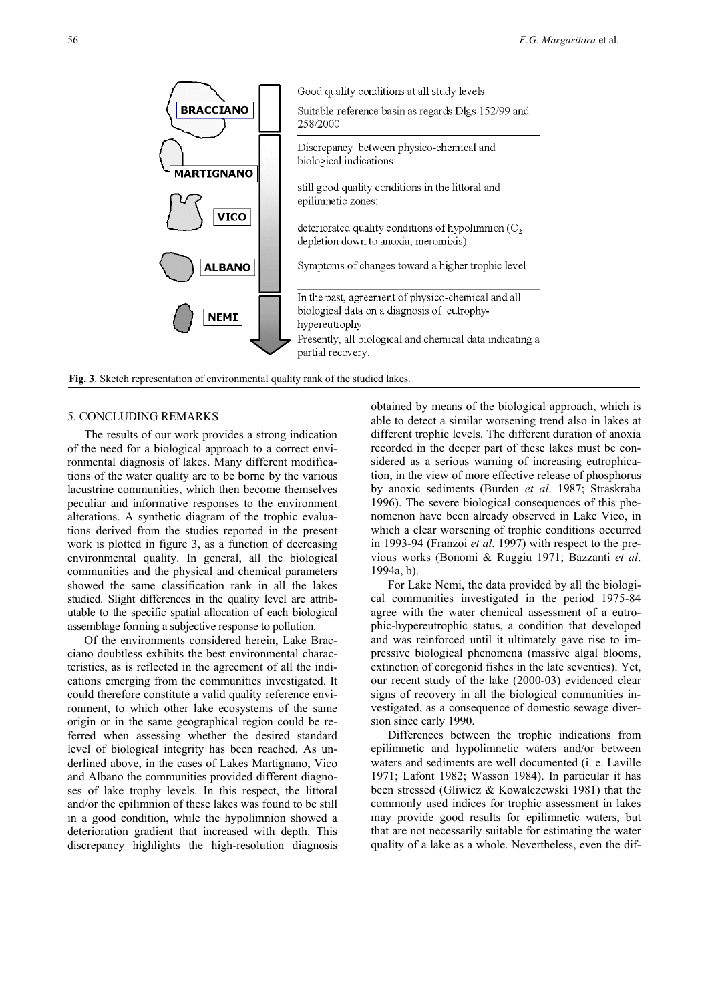

**Fig. 3**. Sketch representation of environmental quality rank of the studied lakes.

# 5. CONCLUDING REMARKS

The results of our work provides a strong indication of the need for a biological approach to a correct environmental diagnosis of lakes. Many different modifications of the water quality are to be borne by the various lacustrine communities, which then become themselves peculiar and informative responses to the environment alterations. A synthetic diagram of the trophic evaluations derived from the studies reported in the present work is plotted in figure 3, as a function of decreasing environmental quality. In general, all the biological communities and the physical and chemical parameters showed the same classification rank in all the lakes studied. Slight differences in the quality level are attributable to the specific spatial allocation of each biological assemblage forming a subjective response to pollution.

Of the environments considered herein, Lake Bracciano doubtless exhibits the best environmental characteristics, as is reflected in the agreement of all the indications emerging from the communities investigated. It could therefore constitute a valid quality reference environment, to which other lake ecosystems of the same origin or in the same geographical region could be referred when assessing whether the desired standard level of biological integrity has been reached. As underlined above, in the cases of Lakes Martignano, Vico and Albano the communities provided different diagnoses of lake trophy levels. In this respect, the littoral and/or the epilimnion of these lakes was found to be still in a good condition, while the hypolimnion showed a deterioration gradient that increased with depth. This discrepancy highlights the high-resolution diagnosis

obtained by means of the biological approach, which is able to detect a similar worsening trend also in lakes at different trophic levels. The different duration of anoxia recorded in the deeper part of these lakes must be considered as a serious warning of increasing eutrophication, in the view of more effective release of phosphorus by anoxic sediments (Burden *et al*. 1987; Straskraba 1996). The severe biological consequences of this phenomenon have been already observed in Lake Vico, in which a clear worsening of trophic conditions occurred in 1993-94 (Franzoi *et al*. 1997) with respect to the previous works (Bonomi & Ruggiu 1971; Bazzanti *et al*.  $1994a$  b).

For Lake Nemi, the data provided by all the biological communities investigated in the period 1975-84 agree with the water chemical assessment of a eutrophic-hypereutrophic status, a condition that developed and was reinforced until it ultimately gave rise to impressive biological phenomena (massive algal blooms, extinction of coregonid fishes in the late seventies). Yet, our recent study of the lake (2000-03) evidenced clear signs of recovery in all the biological communities investigated, as a consequence of domestic sewage diversion since early 1990.

Differences between the trophic indications from epilimnetic and hypolimnetic waters and/or between waters and sediments are well documented (i. e. Laville 1971; Lafont 1982; Wasson 1984). In particular it has been stressed (Gliwicz & Kowalczewski 1981) that the commonly used indices for trophic assessment in lakes may provide good results for epilimnetic waters, but that are not necessarily suitable for estimating the water quality of a lake as a whole. Nevertheless, even the dif-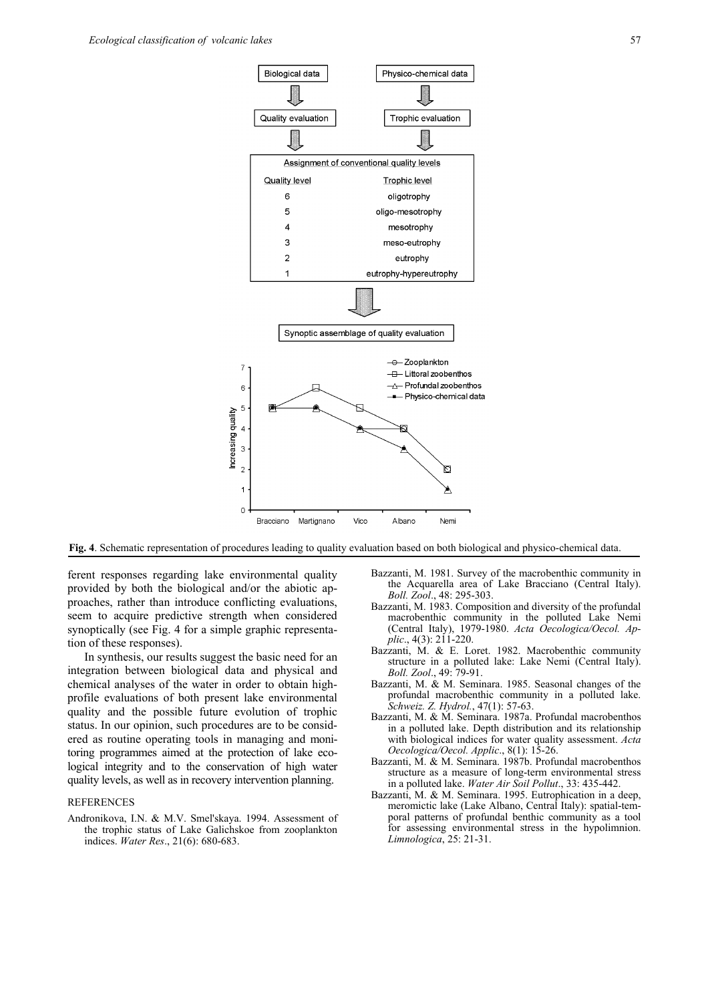

**Fig. 4**. Schematic representation of procedures leading to quality evaluation based on both biological and physico-chemical data.

ferent responses regarding lake environmental quality provided by both the biological and/or the abiotic approaches, rather than introduce conflicting evaluations, seem to acquire predictive strength when considered synoptically (see Fig. 4 for a simple graphic representation of these responses).

In synthesis, our results suggest the basic need for an integration between biological data and physical and chemical analyses of the water in order to obtain highprofile evaluations of both present lake environmental quality and the possible future evolution of trophic status. In our opinion, such procedures are to be considered as routine operating tools in managing and monitoring programmes aimed at the protection of lake ecological integrity and to the conservation of high water quality levels, as well as in recovery intervention planning.

## **REFERENCES**

Andronikova, I.N. & M.V. Smel'skaya. 1994. Assessment of the trophic status of Lake Galichskoe from zooplankton indices. *Water Res*., 21(6): 680-683.

- Bazzanti, M. 1981. Survey of the macrobenthic community in the Acquarella area of Lake Bracciano (Central Italy). *Boll. Zool*., 48: 295-303.
- Bazzanti, M. 1983. Composition and diversity of the profundal macrobenthic community in the polluted Lake Nemi (Central Italy), 1979-1980. *Acta Oecologica/Oecol. Applic*., 4(3): 211-220.
- Bazzanti, M. & E. Loret. 1982. Macrobenthic community structure in a polluted lake: Lake Nemi (Central Italy). *Boll. Zool*., 49: 79-91.
- Bazzanti, M. & M. Seminara. 1985. Seasonal changes of the profundal macrobenthic community in a polluted lake. *Schweiz. Z. Hydrol.*, 47(1): 57-63.
- Bazzanti, M. & M. Seminara. 1987a. Profundal macrobenthos in a polluted lake. Depth distribution and its relationship with biological indices for water quality assessment. *Acta Oecologica/Oecol. Applic*., 8(1): 15-26.
- Bazzanti, M. & M. Seminara. 1987b. Profundal macrobenthos structure as a measure of long-term environmental stress in a polluted lake. *Water Air Soil Pollut*., 33: 435-442.
- Bazzanti, M. & M. Seminara. 1995. Eutrophication in a deep, meromictic lake (Lake Albano, Central Italy): spatial-temporal patterns of profundal benthic community as a tool for assessing environmental stress in the hypolimnion. *Limnologica*, 25: 21-31.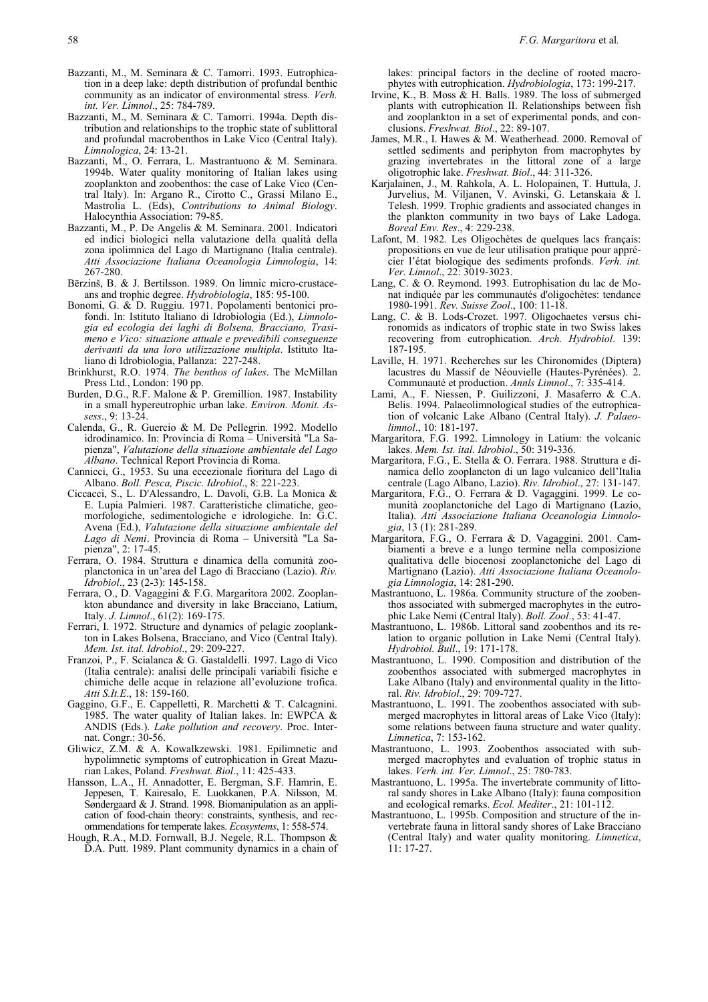- Bazzanti, M., M. Seminara & C. Tamorri. 1993. Eutrophication in a deep lake: depth distribution of profundal benthic community as an indicator of environmental stress. *Verh. int. Ver. Limnol*., 25: 784-789.
- Bazzanti, M., M. Seminara & C. Tamorri. 1994a. Depth distribution and relationships to the trophic state of sublittoral and profundal macrobenthos in Lake Vico (Central Italy). *Limnologica*, 24: 13-21.
- Bazzanti, M., O. Ferrara, L. Mastrantuono & M. Seminara. 1994b. Water quality monitoring of Italian lakes using zooplankton and zoobenthos: the case of Lake Vico (Central Italy). In: Argano R., Cirotto C., Grassi Milano E., Mastrolia L. (Eds), *Contributions to Animal Biology*. Halocynthia Association: 79-85.
- Bazzanti, M., P. De Angelis & M. Seminara. 2001. Indicatori ed indici biologici nella valutazione della qualità della zona ipolimnica del Lago di Martignano (Italia centrale). *Atti Associazione Italiana Oceanologia Limnologia*, 14: 267-280.
- Bērzinš, B. & J. Bertilsson. 1989. On limnic micro-crustaceans and trophic degree. *Hydrobiologia*, 185: 95-100.
- Bonomi, G. & D. Ruggiu. 1971. Popolamenti bentonici profondi. In: Istituto Italiano di Idrobiologia (Ed.), *Limnologia ed ecologia dei laghi di Bolsena, Bracciano, Trasimeno e Vico: situazione attuale e prevedibili conseguenze derivanti da una loro utilizzazione multipla*. Istituto Italiano di Idrobiologia, Pallanza: 227-248.
- Brinkhurst, R.O. 1974. *The benthos of lakes*. The McMillan Press Ltd., London: 190 pp.
- Burden, D.G., R.F. Malone & P. Gremillion. 1987. Instability in a small hypereutrophic urban lake. *Environ. Monit. Assess*., 9: 13-24.
- Calenda, G., R. Guercio & M. De Pellegrin. 1992. Modello idrodinamico. In: Provincia di Roma – Università "La Sapienza", *Valutazione della situazione ambientale del Lago Albano*. Technical Report Provincia di Roma.
- Cannicci, G., 1953. Su una eccezionale fioritura del Lago di Albano. *Boll. Pesca, Piscic. Idrobiol*., 8: 221-223.
- Ciccacci, S., L. D'Alessandro, L. Davoli, G.B. La Monica & E. Lupia Palmieri. 1987. Caratteristiche climatiche, geomorfologiche, sedimentologiche e idrologiche. In: G.C. Avena (Ed.), *Valutazione della situazione ambientale del Lago di Nemi*. Provincia di Roma – Università "La Sapienza", 2: 17-45.
- Ferrara, O. 1984. Struttura e dinamica della comunità zooplanctonica in un'area del Lago di Bracciano (Lazio). *Riv. Idrobiol*., 23 (2-3): 145-158.
- Ferrara, O., D. Vagaggini & F.G. Margaritora 2002. Zooplankton abundance and diversity in lake Bracciano, Latium, Italy. *J. Limnol*., 61(2): 169-175.
- Ferrari, I. 1972. Structure and dynamics of pelagic zooplankton in Lakes Bolsena, Bracciano, and Vico (Central Italy). *Mem. Ist. ital. Idrobiol*., 29: 209-227.
- Franzoi, P., F. Scialanca & G. Gastaldelli. 1997. Lago di Vico (Italia centrale): analisi delle principali variabili fisiche e chimiche delle acque in relazione all'evoluzione trofica. *Atti S.It.E*., 18: 159-160.
- Gaggino, G.F., E. Cappelletti, R. Marchetti & T. Calcagnini. 1985. The water quality of Italian lakes. In: EWPCA  $\&$ ANDIS (Eds.). *Lake pollution and recovery*. Proc. Internat. Congr.: 30-56.
- Gliwicz, Z.M. & A. Kowalkzewski. 1981. Epilimnetic and hypolimnetic symptoms of eutrophication in Great Mazurian Lakes, Poland. *Freshwat. Biol*., 11: 425-433.
- Hansson, L.A., H. Annadotter, E. Bergman, S.F. Hamrin, E. Jeppesen, T. Kairesalo, E. Luokkanen, P.A. Nilsson, M. Søndergaard & J. Strand. 1998. Biomanipulation as an application of food-chain theory: constraints, synthesis, and recommendations for temperate lakes. *Ecosystems*, 1: 558-574.
- Hough, R.A., M.D. Fornwall, B.J. Negele, R.L. Thompson & D.A. Putt. 1989. Plant community dynamics in a chain of

lakes: principal factors in the decline of rooted macrophytes with eutrophication. *Hydrobiologia*, 173: 199-217.

- Irvine, K., B. Moss & H. Balls. 1989. The loss of submerged plants with eutrophication II. Relationships between fish and zooplankton in a set of experimental ponds, and conclusions. *Freshwat. Biol*., 22: 89-107.
- James, M.R., I. Hawes & M. Weatherhead. 2000. Removal of settled sediments and periphyton from macrophytes by grazing invertebrates in the littoral zone of a large oligotrophic lake. *Freshwat. Biol*., 44: 311-326.
- Karjalainen, J., M. Rahkola, A. L. Holopainen, T. Huttula, J. Jurvelius, M. Viljanen, V. Avinski, G. Letanskaia & I. Telesh. 1999. Trophic gradients and associated changes in the plankton community in two bays of Lake Ladoga. *Boreal Env. Res*., 4: 229-238.
- Lafont, M. 1982. Les Oligochètes de quelques lacs français: propositions en vue de leur utilisation pratique pour apprécier l'état biologique des sediments profonds. *Verh. int. Ver. Limnol*., 22: 3019-3023.
- Lang, C. & O. Reymond. 1993. Eutrophisation du lac de Monat indiquée par les communautés d'oligochètes: tendance 1980-1991. *Rev. Suisse Zool*., 100: 11-18.
- Lang, C. & B. Lods-Crozet. 1997. Oligochaetes versus chironomids as indicators of trophic state in two Swiss lakes recovering from eutrophication. *Arch. Hydrobiol*. 139: 187-195.
- Laville, H. 1971. Recherches sur les Chironomides (Diptera) lacustres du Massif de Néouvielle (Hautes-Pyrénées). 2. Communauté et production. *Annls Limnol*., 7: 335-414.
- Lami, A., F. Niessen, P. Guilizzoni, J. Masaferro & C.A. Belis. 1994. Palaeolimnological studies of the eutrophication of volcanic Lake Albano (Central Italy). *J. Palaeolimnol*., 10: 181-197.
- Margaritora, F.G. 1992. Limnology in Latium: the volcanic lakes. *Mem. Ist. ital. Idrobiol*., 50: 319-336.
- Margaritora, F.G., E. Stella & O. Ferrara. 1988. Struttura e dinamica dello zooplancton di un lago vulcanico dell'Italia centrale (Lago Albano, Lazio). *Riv. Idrobiol*., 27: 131-147.
- Margaritora, F.G., O. Ferrara & D. Vagaggini. 1999. Le comunità zooplanctoniche del Lago di Martignano (Lazio, Italia). *Atti Associazione Italiana Oceanologia Limnologia*, 13 (1): 281-289.
- Margaritora, F.G., O. Ferrara & D. Vagaggini. 2001. Cambiamenti a breve e a lungo termine nella composizione qualitativa delle biocenosi zooplanctoniche del Lago di Martignano (Lazio). *Atti Associazione Italiana Oceanologia Limnologia*, 14: 281-290.
- Mastrantuono, L. 1986a. Community structure of the zoobenthos associated with submerged macrophytes in the eutrophic Lake Nemi (Central Italy). *Boll. Zool*., 53: 41-47.
- Mastrantuono, L. 1986b. Littoral sand zoobenthos and its relation to organic pollution in Lake Nemi (Central Italy). *Hydrobiol. Bull*., 19: 171-178.
- Mastrantuono, L. 1990. Composition and distribution of the zoobenthos associated with submerged macrophytes in Lake Albano (Italy) and environmental quality in the littoral. *Riv. Idrobiol*., 29: 709-727.
- Mastrantuono, L. 1991. The zoobenthos associated with submerged macrophytes in littoral areas of Lake Vico (Italy): some relations between fauna structure and water quality. *Limnetica*, 7: 153-162.
- Mastrantuono, L. 1993. Zoobenthos associated with submerged macrophytes and evaluation of trophic status in lakes. *Verh. int. Ver. Limnol*., 25: 780-783.
- Mastrantuono, L. 1995a. The invertebrate community of littoral sandy shores in Lake Albano (Italy): fauna composition and ecological remarks. *Ecol. Mediter*., 21: 101-112.
- Mastrantuono, L. 1995b. Composition and structure of the invertebrate fauna in littoral sandy shores of Lake Bracciano (Central Italy) and water quality monitoring. *Limnetica*, 11: 17-27.